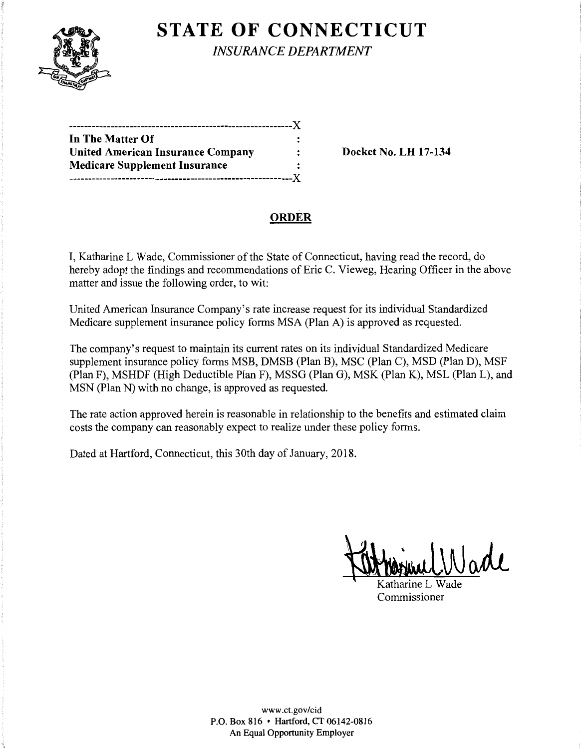

# **STATE OF CONNECTICUT**

*INSURANCE DEPARTMENT* 

| In The Matter Of                         |  |
|------------------------------------------|--|
| <b>United American Insurance Company</b> |  |
| <b>Medicare Supplement Insurance</b>     |  |
|                                          |  |

**Docket No. LH 17-134** 

# **ORDER**

I, Katharine L Wade, Commissioner of the State of Connecticut, having read the record, do hereby adopt the findings and recommendations of Eric C. Vieweg, Hearing Officer in the above matter and issue the following order, to wit:

United American Insurance Company's rate increase request for its individual Standardized Medicare supplement insurance policy forms MSA (Plan A) is approved as requested.

The company's request to maintain its current rates on its individual Standardized Medicare supplement insurance policy forms MSB, DMSB (Plan B), MSC (Plan C), MSD (Plan D), MSF (Plan F), MSHDF (High Deductible Plan F), MSSG (Plan G), MSK (Plan K), MSL (Plan L), and MSN (Plan N) with no change, is approved as requested.

The rate action approved herein is reasonable in relationship to the benefits and estimated claim costs the company can reasonably expect to realize under these policy forms.

Dated at Hartford, Connecticut, this 30th day of January, 2018.

Katharine L Wade

Katharine L Wade Commissioner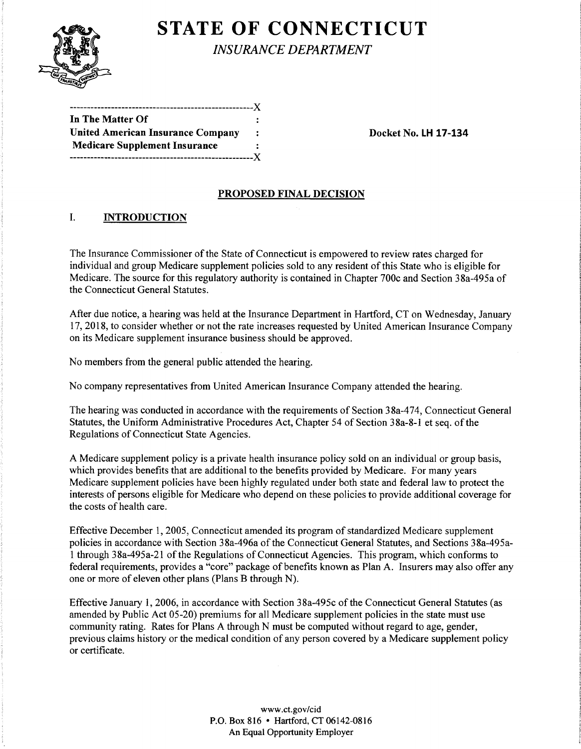

**STATE OF CONNECTICUT** 

*INSURANCE DEPARTMENT* 

| ----------------                         |  |
|------------------------------------------|--|
| In The Matter Of                         |  |
| <b>United American Insurance Company</b> |  |
| <b>Medicare Supplement Insurance</b>     |  |
|                                          |  |

**Docket No. LH 17-134** 

#### **PROPOSED FINAL DECISION**

## I. **INTRODUCTION**

The Insurance Commissioner of the State of Connecticut is empowered to review rates charged for individual and group Medicare supplement policies sold to any resident of this State who is eligible for Medicare. The source for this regulatory authority is contained in Chapter 700c and Section 38a-495a of the Connecticut General Statutes.

After due notice, a hearing was held at the Insurance Department in Hartford, CT on Wednesday, January 17, 2018, to consider whether or not the rate increases requested by United American Insurance Company on its Medicare supplement insurance business should be approved.

No members from the general public attended the hearing.

No company representatives from United American Insurance Company attended the hearing.

The hearing was conducted in accordance with the requirements of Section 38a-474, Connecticut General Statutes, the Uniform Administrative Procedures Act, Chapter 54 of Section 38a-8-1 et seq. of the Regulations of Connecticut State Agencies.

A Medicare supplement policy is a private health insurance policy sold on an individual or group basis, which provides benefits that are additional to the benefits provided by Medicare. For many years Medicare supplement policies have been highly regulated under both state and federal law to protect the interests of persons eligible for Medicare who depend on these policies to provide additional coverage for the costs of health care.

Effective December 1, 2005, Connecticut amended its program of standardized Medicare supplement policies in accordance with Section 38a-496a of the Connecticut General Statutes, and Sections 38a-495a-1 through 38a-495a-21 ofthe Regulations of Connecticut Agencies. This program, which conforms to federal requirements, provides a "core" package of benefits known as Plan A. Insurers may also offer any one or more of eleven other plans (Plans B through N).

Effective January 1, 2006, in accordance with Section 38a-495c ofthe Connecticut General Statutes (as amended by Public Act 05-20) premiums for all Medicare supplement policies in the state must use community rating. Rates for Plans A through N must be computed without regard to age, gender, previous claims history or the medical condition of any person covered by a Medicare supplement policy or certificate.

> www.ct.gov/cid P.O. Box 816 • Hartford, CT 06142-0816 An Equal Opportunity Employer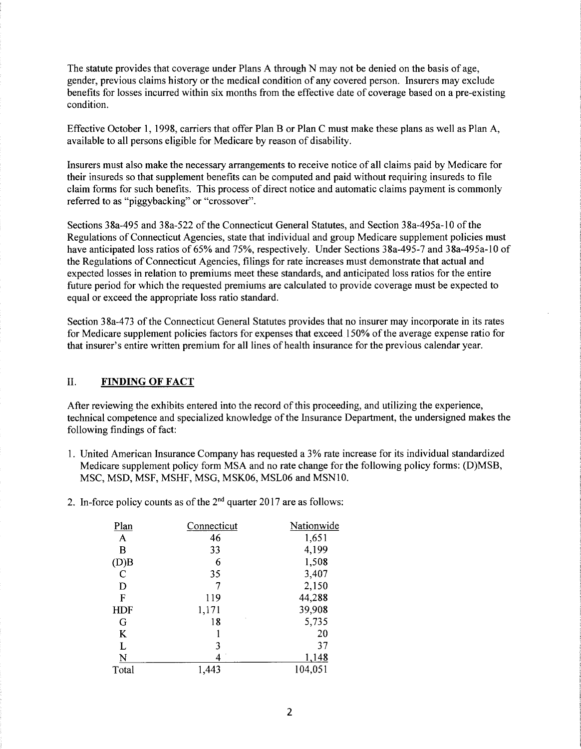The statute provides that coverage under Plans A through N may not be denied on the basis of age, gender, previous claims history or the medical condition of any covered person. Insurers may exclude benefits for losses incurred within six months from the effective date of coverage based on a pre-existing condition.

Effective October 1, 1998, carriers that offer Plan B or Plan C must make these plans as well as Plan A, available to all persons eligible for Medicare by reason of disability.

Insurers must also make the necessary arrangements to receive notice of all claims paid by Medicare for their insureds so that supplement benefits can be computed and paid without requiring insureds to file claim forms for such benefits. This process of direct notice and automatic claims payment is commonly referred to as "piggybacking" or "crossover".

Sections 38a-495 and 38a-522 of the Connecticut General Statutes, and Section 38a-495a-10 of the Regulations of Connecticut Agencies, state that individual and group Medicare supplement policies must have anticipated loss ratios of 65% and 75%, respectively. Under Sections 38a-495-7 and 38a-495a-10 of the Regulations of Connecticut Agencies, filings for rate increases must demonstrate that actual and expected losses in relation to premiums meet these standards, and anticipated loss ratios for the entire future period for which the requested premiums are calculated to provide coverage must be expected to equal or exceed the appropriate loss ratio standard.

Section 38a-473 of the Connecticut General Statutes provides that no insurer may incorporate in its rates for Medicare supplement policies factors for expenses that exceed 150% of the average expense ratio for that insurer's entire written premium for all lines of health insurance for the previous calendar year.

## II. **FINDING OF FACT**

After reviewing the exhibits entered into the record of this proceeding, and utilizing the experience, technical competence and specialized knowledge of the Insurance Department, the undersigned makes the following findings of fact:

- 1. United American Insurance Company has requested a 3% rate increase for its individual standardized Medicare supplement policy form MSA and no rate change for the following policy forms: (D)MSB, MSC, MSD, MSF, MSHF, MSG, MSK06, MSL06 and MSNlO.
- 2. In-force policy counts as of the  $2<sup>nd</sup>$  quarter 2017 are as follows:

| Plan         | Connecticut | Nationwide |
|--------------|-------------|------------|
| $\mathbf{A}$ | 46          | 1,651      |
| B            | 33          | 4,199      |
| (D)B         | 6           | 1,508      |
| $\mathbf C$  | 35          | 3,407      |
| D            |             | 2,150      |
| F            | 119         | 44,288     |
| HDF          | 1,171       | 39,908     |
| G            | 18          | 5,735      |
| K            |             | 20         |
| L            | 3           | 37         |
| N            |             | 1,148      |
| Total        | 1,443       | 104,051    |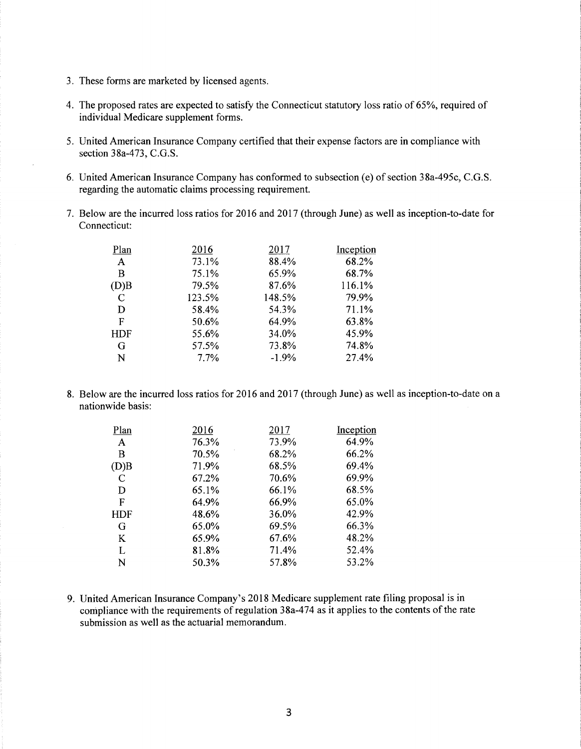- 3. These forms are marketed by licensed agents.
- 4. The proposed rates are expected to satisfy the Connecticut statutory loss ratio of 65%, required of individual Medicare supplement forms.
- 5. United American Insurance Company certified that their expense factors are in compliance with section 38a-473, C.G.S.
- 6. United American Insurance Company has conformed to subsection (e) of section 38a-495c, C.G.S. regarding the automatic claims processing requirement.
- 7. Below are the incurred loss ratios for 2016 and 2017 (through June) as well as inception-to-date for Connecticut:

| Plan          | 2016   | 2017    | Inception |
|---------------|--------|---------|-----------|
| $\mathbf{A}$  | 73.1%  | 88.4%   | 68.2%     |
| B             | 75.1%  | 65.9%   | 68.7%     |
| (D)B          | 79.5%  | 87.6%   | 116.1%    |
| $\mathcal{C}$ | 123.5% | 148.5%  | 79.9%     |
| D             | 58.4%  | 54.3%   | 71.1%     |
| F             | 50.6%  | 64.9%   | 63.8%     |
| <b>HDF</b>    | 55.6%  | 34.0%   | 45.9%     |
| G             | 57.5%  | 73.8%   | 74.8%     |
| N             | 7.7%   | $-1.9%$ | 27.4%     |
|               |        |         |           |

8. Below are the incurred loss ratios for 2016 and 2017 (through June) as well as inception-to-date on a nationwide basis:

| Plan       | 2016  | 2017  | Inception |
|------------|-------|-------|-----------|
| A          | 76.3% | 73.9% | 64.9%     |
| B          | 70.5% | 68.2% | 66.2%     |
| (D)B       | 71.9% | 68.5% | 69.4%     |
| C          | 67.2% | 70.6% | 69.9%     |
| D          | 65.1% | 66.1% | 68.5%     |
| F          | 64.9% | 66.9% | 65.0%     |
| <b>HDF</b> | 48.6% | 36.0% | 42.9%     |
| G          | 65.0% | 69.5% | 66.3%     |
| K          | 65.9% | 67.6% | 48.2%     |
| L          | 81.8% | 71.4% | 52.4%     |
| N          | 50.3% | 57.8% | 53.2%     |

9. United American Insurance Company's 2018 Medicare supplement rate filing proposal is in compliance with the requirements of regulation 38a-474 as it applies to the contents of the rate submission as well as the actuarial memorandum.